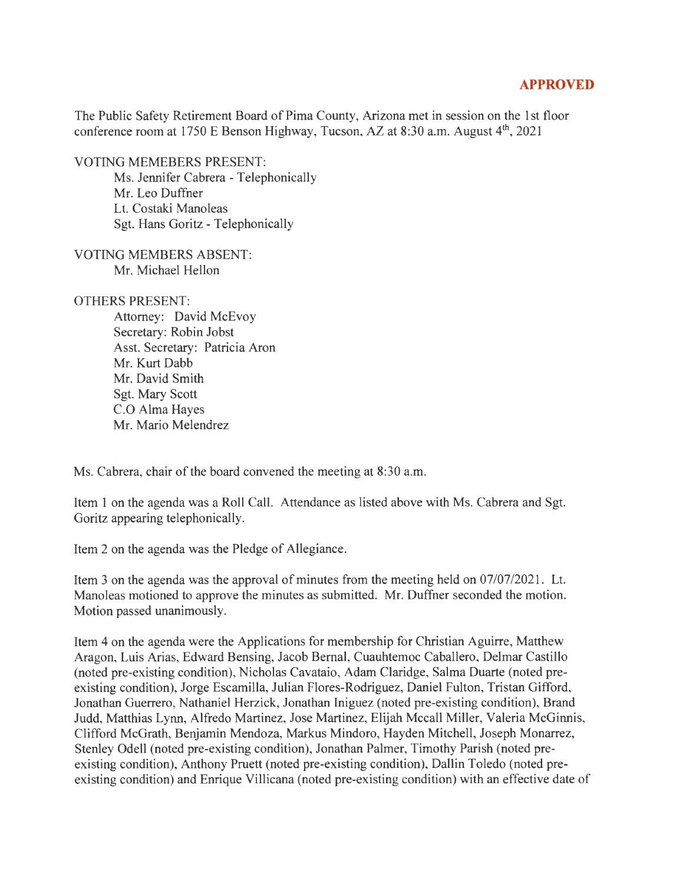## **APPROVED**

The Public Safety Retirement Board of Pima County, Arizona met in session on the 1st floor conference room at 1750 E Benson Highway, Tucson, AZ at 8:30 a.m. August  $4<sup>th</sup>$ , 2021

VOTING MEMEBERS PRESENT:

Ms. Jennifer Cabrera - Telephonically Mr. Leo Duffner Lt. Costaki Manoleas Sgt. Hans Goritz - Telephonically

VOTING MEMBERS ABSENT: Mr. Michael Hellon

OTHERS PRESENT:

Attorney: David McEvoy Secretary: Robin Jobst Asst. Secretary: Patricia Aron Mr. Kurt Dabb Mr. David Smith Sgt. Mary Scott C.O Alma Hayes Mr. Mario Melendrez

Ms. Cabrera, chair of the board convened the meeting at 8:30 a.m.

Item 1 on the agenda was a Roll Call. Attendance as listed above with Ms. Cabrera and Sgt. Goritz appearing telephonically.

Item 2 on the agenda was the Pledge of Allegiance.

Item 3 on the agenda was the approval of minutes from the meeting held on 07/07/2021. Lt. Manoleas motioned to approve the minutes as submitted. Mr. Duffner seconded the motion. Motion passed unanimously.

Item 4 on the agenda were the Applications for membership for Christian Aguirre, Matthew Aragon, Luis Arias, Edward Bensing, Jacob Bernal, Cuauhtemoc Caballero, Delmar Castillo (noted pre-existing condition), Nicholas Cavataio, Adam Claridge, Salma Duarte (noted preexisting condition), Jorge Escamilla, Julian Flores-Rodriguez, Daniel Fulton, Tristan Gifford, Jonathan Guerrero, Nathaniel Herzick, Jonathan Iniguez (noted pre-existing condition), Brand Judd, Matthias Lynn, Alfredo Martinez, Jose Martinez, Elijah Mccall Miller, Valeria McGinnis, Clifford McGrath, Benjamin Mendoza, Markus Mindoro, Hayden Mitchell, Joseph Monarrez, Stenley Odell (noted pre-existing condition), Jonathan Palmer, Timothy Parish (noted preexisting condition), Anthony Pruett (noted pre-existing condition), Dallin Toledo (noted preexisting condition) and Enrique Villicana (noted pre-existing condition) with an effective date of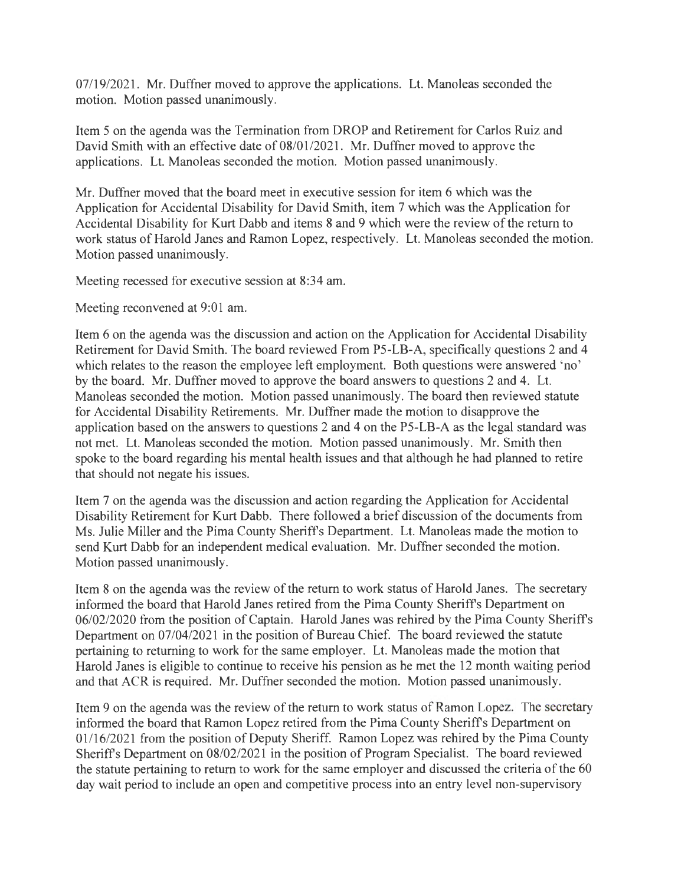07/19/2021. Mr. Duffner moved to approve the applications. Lt. Manoleas seconded the motion. Motion passed unanimously.

Item Son the agenda was the Termination from DROP and Retirement for Carlos Ruiz and David Smith with an effective date of 08/01/2021. Mr. Duffner moved to approve the applications. Lt. Manoleas seconded the motion. Motion passed unanimously.

Mr. Duffner moved that the board meet in executive session for item 6 which was the Application for Accidental Disability for David Smith, item 7 which was the Application for Accidental Disability for Kurt Dabb and items 8 and 9 which were the review of the return to work status of Harold Janes and Ramon Lopez, respectively. Lt. Manoleas seconded the motion. Motion passed unanimously.

Meeting recessed for executive session at 8:34 am.

Meeting reconvened at 9:01 am.

Item 6 on the agenda was the discussion and action on the Application for Accidental Disability Retirement for David Smith. The board reviewed From PS-LB-A, specifically questions 2 and 4 which relates to the reason the employee left employment. Both questions were answered 'no' by the board. Mr. Duffner moved to approve the board answers to questions 2 and 4. Lt. Manoleas seconded the motion. Motion passed unanimously. The board then reviewed statute for Accidental Disability Retirements. Mr. Duffner made the motion to disapprove the application based on the answers to questions 2 and 4 on the PS-LB-A as the legal standard was not met. Lt. Manoleas seconded the motion. Motion passed unanimously. Mr. Smith then spoke to the board regarding his mental health issues and that although he had planned to retire that should not negate his issues.

Item 7 on the agenda was the discussion and action regarding the Application for Accidental Disability Retirement for Kurt Dabb. There followed a brief discussion of the documents from Ms. Julie Miller and the Pima County Sheriffs Department. Lt. Manoleas made the motion to send Kurt Dabb for an independent medical evaluation. Mr. Duffner seconded the motion. Motion passed unanimously.

Item 8 on the agenda was the review of the return to work status of Harold Janes. The secretary informed the board that Harold Janes retired from the Pima County Sheriffs Department on 06/02/2020 from the position of Captain. Harold Janes was rehired by the Pima County Sheriffs Department on 07/04/2021 in the position of Bureau Chief. The board reviewed the statute pertaining to returning to work for the same employer. Lt. Manoleas made the motion that Harold Janes is eligible to continue to receive his pension as he met the 12 month waiting period and that ACR is required. Mr. Duffner seconded the motion. Motion passed unanimously.

Item 9 on the agenda was the review of the return to work status of Ramon Lopez. The secretary informed the board that Ramon Lopez retired from the Pima County Sheriffs Department on 01/16/2021 from the position of Deputy Sheriff. Ramon Lopez was rehired by the Pima County Sheriffs Department on 08/02/2021 in the position of Program Specialist. The board reviewed the statute pertaining to return to work for the same employer and discussed the criteria of the 60 day wait period to include an open and competitive process into an entry level non-supervisory